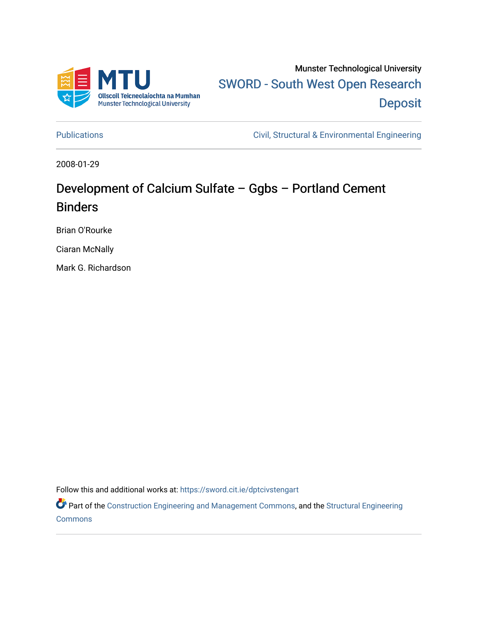

Munster Technological University [SWORD - South West Open Research](https://sword.cit.ie/)  **Deposit** 

[Publications](https://sword.cit.ie/dptcivstengart) [Civil, Structural & Environmental Engineering](https://sword.cit.ie/dptcivsteng) 

2008-01-29

## Development of Calcium Sulfate – Ggbs – Portland Cement Binders

Brian O'Rourke

Ciaran McNally

Mark G. Richardson

Follow this and additional works at: [https://sword.cit.ie/dptcivstengart](https://sword.cit.ie/dptcivstengart?utm_source=sword.cit.ie%2Fdptcivstengart%2F33&utm_medium=PDF&utm_campaign=PDFCoverPages) 

Part of the [Construction Engineering and Management Commons](http://network.bepress.com/hgg/discipline/253?utm_source=sword.cit.ie%2Fdptcivstengart%2F33&utm_medium=PDF&utm_campaign=PDFCoverPages), and the [Structural Engineering](http://network.bepress.com/hgg/discipline/256?utm_source=sword.cit.ie%2Fdptcivstengart%2F33&utm_medium=PDF&utm_campaign=PDFCoverPages) **[Commons](http://network.bepress.com/hgg/discipline/256?utm_source=sword.cit.ie%2Fdptcivstengart%2F33&utm_medium=PDF&utm_campaign=PDFCoverPages)**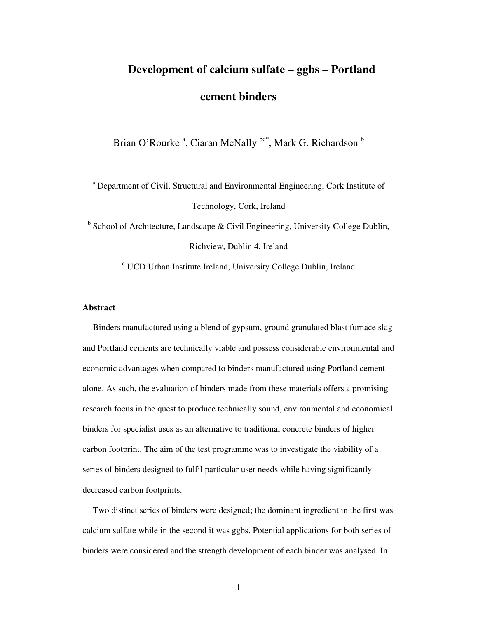# **Development of calcium sulfate – ggbs – Portland cement binders**

Brian O'Rourke<sup>a</sup>, Ciaran McNally <sup>bc\*</sup>, Mark G. Richardson <sup>b</sup>

<sup>a</sup> Department of Civil, Structural and Environmental Engineering, Cork Institute of Technology, Cork, Ireland

<sup>b</sup> School of Architecture, Landscape & Civil Engineering, University College Dublin, Richview, Dublin 4, Ireland

c UCD Urban Institute Ireland, University College Dublin, Ireland

## **Abstract**

Binders manufactured using a blend of gypsum, ground granulated blast furnace slag and Portland cements are technically viable and possess considerable environmental and economic advantages when compared to binders manufactured using Portland cement alone. As such, the evaluation of binders made from these materials offers a promising research focus in the quest to produce technically sound, environmental and economical binders for specialist uses as an alternative to traditional concrete binders of higher carbon footprint. The aim of the test programme was to investigate the viability of a series of binders designed to fulfil particular user needs while having significantly decreased carbon footprints.

Two distinct series of binders were designed; the dominant ingredient in the first was calcium sulfate while in the second it was ggbs. Potential applications for both series of binders were considered and the strength development of each binder was analysed. In

1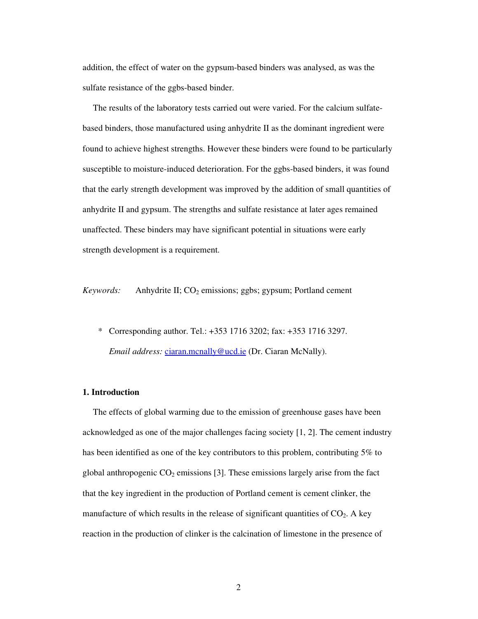addition, the effect of water on the gypsum-based binders was analysed, as was the sulfate resistance of the ggbs-based binder.

The results of the laboratory tests carried out were varied. For the calcium sulfatebased binders, those manufactured using anhydrite II as the dominant ingredient were found to achieve highest strengths. However these binders were found to be particularly susceptible to moisture-induced deterioration. For the ggbs-based binders, it was found that the early strength development was improved by the addition of small quantities of anhydrite II and gypsum. The strengths and sulfate resistance at later ages remained unaffected. These binders may have significant potential in situations were early strength development is a requirement.

*Keywords:* Anhydrite II; CO<sub>2</sub> emissions; ggbs; gypsum; Portland cement

 \* Corresponding author. Tel.: +353 1716 3202; fax: +353 1716 3297. *Email address:* ciaran.mcnally@ucd.ie (Dr. Ciaran McNally).

## **1. Introduction**

The effects of global warming due to the emission of greenhouse gases have been acknowledged as one of the major challenges facing society [1, 2]. The cement industry has been identified as one of the key contributors to this problem, contributing 5% to global anthropogenic  $CO<sub>2</sub>$  emissions [3]. These emissions largely arise from the fact that the key ingredient in the production of Portland cement is cement clinker, the manufacture of which results in the release of significant quantities of  $CO<sub>2</sub>$ . A key reaction in the production of clinker is the calcination of limestone in the presence of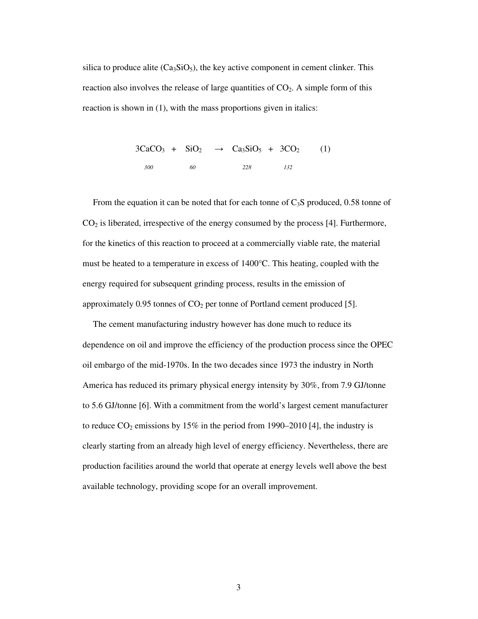silica to produce alite  $(Ca_3SiO_5)$ , the key active component in cement clinker. This reaction also involves the release of large quantities of  $CO<sub>2</sub>$ . A simple form of this reaction is shown in (1), with the mass proportions given in italics:

> $3CaCO<sub>3</sub> + SiO<sub>2</sub> \rightarrow Ca<sub>3</sub>SiO<sub>5</sub> + 3CO<sub>2</sub>$  (1) *300 60 228 132*

From the equation it can be noted that for each tonne of  $C_3S$  produced, 0.58 tonne of  $CO<sub>2</sub>$  is liberated, irrespective of the energy consumed by the process [4]. Furthermore, for the kinetics of this reaction to proceed at a commercially viable rate, the material must be heated to a temperature in excess of 1400°C. This heating, coupled with the energy required for subsequent grinding process, results in the emission of approximately 0.95 tonnes of  $CO<sub>2</sub>$  per tonne of Portland cement produced [5].

The cement manufacturing industry however has done much to reduce its dependence on oil and improve the efficiency of the production process since the OPEC oil embargo of the mid-1970s. In the two decades since 1973 the industry in North America has reduced its primary physical energy intensity by 30%, from 7.9 GJ/tonne to 5.6 GJ/tonne [6]. With a commitment from the world's largest cement manufacturer to reduce  $CO_2$  emissions by 15% in the period from 1990–2010 [4], the industry is clearly starting from an already high level of energy efficiency. Nevertheless, there are production facilities around the world that operate at energy levels well above the best available technology, providing scope for an overall improvement.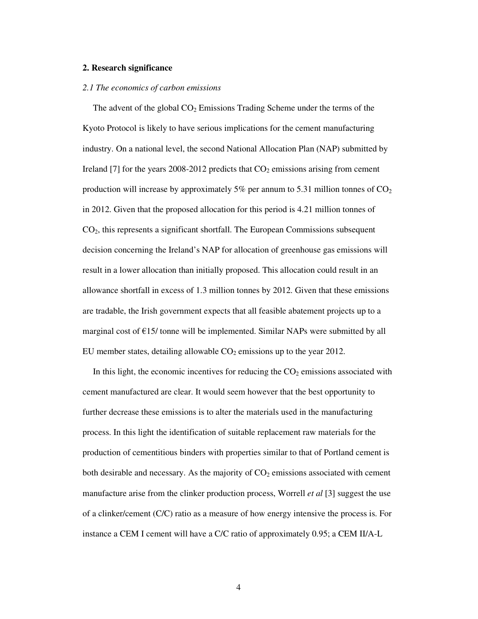#### **2. Research significance**

#### *2.1 The economics of carbon emissions*

The advent of the global  $CO<sub>2</sub>$  Emissions Trading Scheme under the terms of the Kyoto Protocol is likely to have serious implications for the cement manufacturing industry. On a national level, the second National Allocation Plan (NAP) submitted by Ireland [7] for the years 2008-2012 predicts that  $CO<sub>2</sub>$  emissions arising from cement production will increase by approximately 5% per annum to 5.31 million tonnes of  $CO<sub>2</sub>$ in 2012. Given that the proposed allocation for this period is 4.21 million tonnes of CO2, this represents a significant shortfall. The European Commissions subsequent decision concerning the Ireland's NAP for allocation of greenhouse gas emissions will result in a lower allocation than initially proposed. This allocation could result in an allowance shortfall in excess of 1.3 million tonnes by 2012. Given that these emissions are tradable, the Irish government expects that all feasible abatement projects up to a marginal cost of  $E$ 15/ tonne will be implemented. Similar NAPs were submitted by all EU member states, detailing allowable  $CO<sub>2</sub>$  emissions up to the year 2012.

In this light, the economic incentives for reducing the  $CO<sub>2</sub>$  emissions associated with cement manufactured are clear. It would seem however that the best opportunity to further decrease these emissions is to alter the materials used in the manufacturing process. In this light the identification of suitable replacement raw materials for the production of cementitious binders with properties similar to that of Portland cement is both desirable and necessary. As the majority of  $CO<sub>2</sub>$  emissions associated with cement manufacture arise from the clinker production process, Worrell *et al* [3] suggest the use of a clinker/cement (C/C) ratio as a measure of how energy intensive the process is. For instance a CEM I cement will have a C/C ratio of approximately 0.95; a CEM II/A-L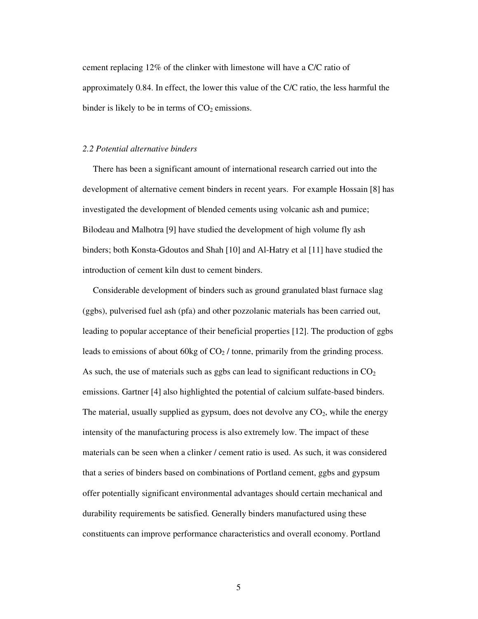cement replacing 12% of the clinker with limestone will have a C/C ratio of approximately 0.84. In effect, the lower this value of the C/C ratio, the less harmful the binder is likely to be in terms of  $CO<sub>2</sub>$  emissions.

#### *2.2 Potential alternative binders*

There has been a significant amount of international research carried out into the development of alternative cement binders in recent years. For example Hossain [8] has investigated the development of blended cements using volcanic ash and pumice; Bilodeau and Malhotra [9] have studied the development of high volume fly ash binders; both Konsta-Gdoutos and Shah [10] and Al-Hatry et al [11] have studied the introduction of cement kiln dust to cement binders.

Considerable development of binders such as ground granulated blast furnace slag (ggbs), pulverised fuel ash (pfa) and other pozzolanic materials has been carried out, leading to popular acceptance of their beneficial properties [12]. The production of ggbs leads to emissions of about 60kg of  $CO<sub>2</sub>$  / tonne, primarily from the grinding process. As such, the use of materials such as ggbs can lead to significant reductions in  $CO<sub>2</sub>$ emissions. Gartner [4] also highlighted the potential of calcium sulfate-based binders. The material, usually supplied as gypsum, does not devolve any  $CO<sub>2</sub>$ , while the energy intensity of the manufacturing process is also extremely low. The impact of these materials can be seen when a clinker / cement ratio is used. As such, it was considered that a series of binders based on combinations of Portland cement, ggbs and gypsum offer potentially significant environmental advantages should certain mechanical and durability requirements be satisfied. Generally binders manufactured using these constituents can improve performance characteristics and overall economy. Portland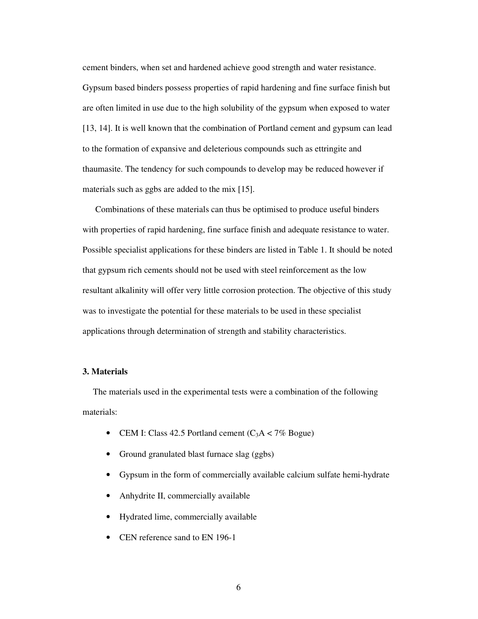cement binders, when set and hardened achieve good strength and water resistance. Gypsum based binders possess properties of rapid hardening and fine surface finish but are often limited in use due to the high solubility of the gypsum when exposed to water [13, 14]. It is well known that the combination of Portland cement and gypsum can lead to the formation of expansive and deleterious compounds such as ettringite and thaumasite. The tendency for such compounds to develop may be reduced however if materials such as ggbs are added to the mix [15].

 Combinations of these materials can thus be optimised to produce useful binders with properties of rapid hardening, fine surface finish and adequate resistance to water. Possible specialist applications for these binders are listed in Table 1. It should be noted that gypsum rich cements should not be used with steel reinforcement as the low resultant alkalinity will offer very little corrosion protection. The objective of this study was to investigate the potential for these materials to be used in these specialist applications through determination of strength and stability characteristics.

#### **3. Materials**

The materials used in the experimental tests were a combination of the following materials:

- CEM I: Class 42.5 Portland cement  $(C_3A < 7\%$  Bogue)
- Ground granulated blast furnace slag (ggbs)
- Gypsum in the form of commercially available calcium sulfate hemi-hydrate
- Anhydrite II, commercially available
- Hydrated lime, commercially available
- CEN reference sand to EN 196-1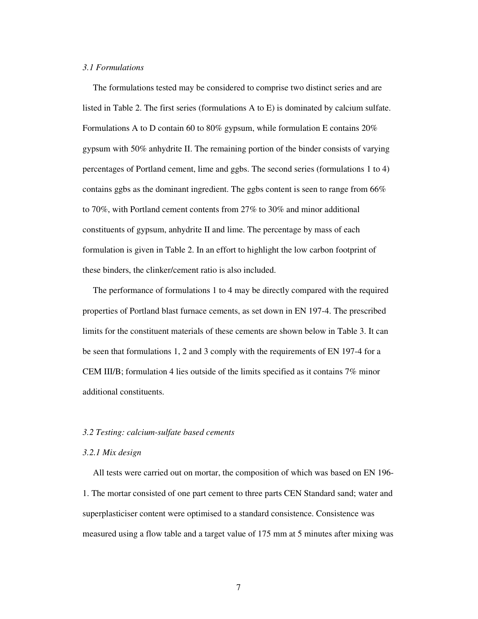#### *3.1 Formulations*

The formulations tested may be considered to comprise two distinct series and are listed in Table 2. The first series (formulations A to E) is dominated by calcium sulfate. Formulations A to D contain 60 to 80% gypsum, while formulation E contains 20% gypsum with 50% anhydrite II. The remaining portion of the binder consists of varying percentages of Portland cement, lime and ggbs. The second series (formulations 1 to 4) contains ggbs as the dominant ingredient. The ggbs content is seen to range from 66% to 70%, with Portland cement contents from 27% to 30% and minor additional constituents of gypsum, anhydrite II and lime. The percentage by mass of each formulation is given in Table 2. In an effort to highlight the low carbon footprint of these binders, the clinker/cement ratio is also included.

The performance of formulations 1 to 4 may be directly compared with the required properties of Portland blast furnace cements, as set down in EN 197-4. The prescribed limits for the constituent materials of these cements are shown below in Table 3. It can be seen that formulations 1, 2 and 3 comply with the requirements of EN 197-4 for a CEM III/B; formulation 4 lies outside of the limits specified as it contains 7% minor additional constituents.

## *3.2 Testing: calcium-sulfate based cements*

## *3.2.1 Mix design*

All tests were carried out on mortar, the composition of which was based on EN 196- 1. The mortar consisted of one part cement to three parts CEN Standard sand; water and superplasticiser content were optimised to a standard consistence. Consistence was measured using a flow table and a target value of 175 mm at 5 minutes after mixing was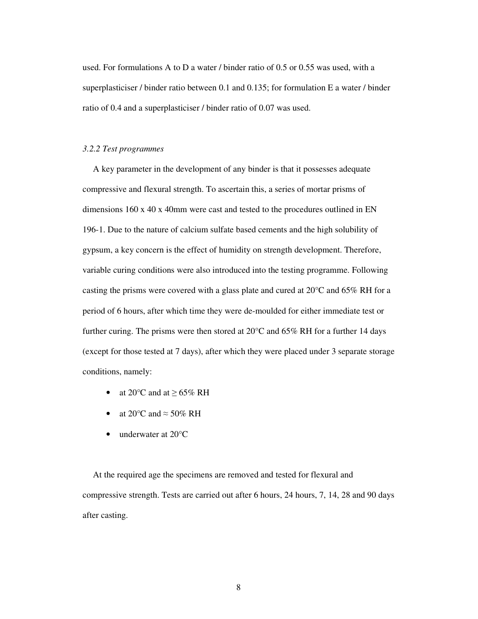used. For formulations A to D a water / binder ratio of 0.5 or 0.55 was used, with a superplasticiser / binder ratio between 0.1 and 0.135; for formulation E a water / binder ratio of 0.4 and a superplasticiser / binder ratio of 0.07 was used.

#### *3.2.2 Test programmes*

A key parameter in the development of any binder is that it possesses adequate compressive and flexural strength. To ascertain this, a series of mortar prisms of dimensions 160 x 40 x 40mm were cast and tested to the procedures outlined in EN 196-1. Due to the nature of calcium sulfate based cements and the high solubility of gypsum, a key concern is the effect of humidity on strength development. Therefore, variable curing conditions were also introduced into the testing programme. Following casting the prisms were covered with a glass plate and cured at  $20^{\circ}$ C and 65% RH for a period of 6 hours, after which time they were de-moulded for either immediate test or further curing. The prisms were then stored at 20°C and 65% RH for a further 14 days (except for those tested at 7 days), after which they were placed under 3 separate storage conditions, namely:

- at 20 $\degree$ C and at  $\geq$  65% RH
- at 20 $\degree$ C and  $\approx$  50% RH
- underwater at 20°C

At the required age the specimens are removed and tested for flexural and compressive strength. Tests are carried out after 6 hours, 24 hours, 7, 14, 28 and 90 days after casting.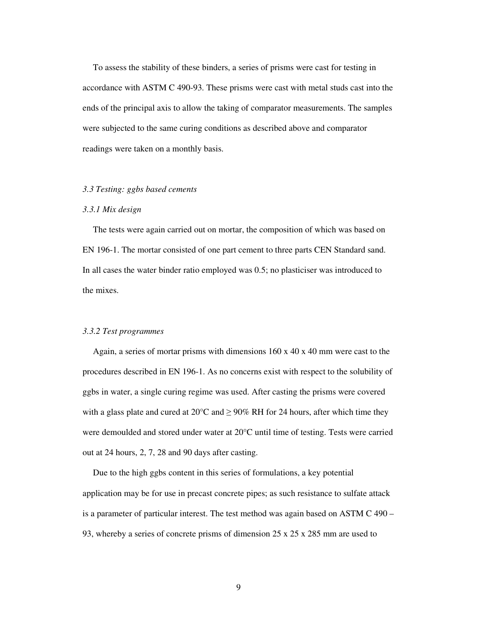To assess the stability of these binders, a series of prisms were cast for testing in accordance with ASTM C 490-93. These prisms were cast with metal studs cast into the ends of the principal axis to allow the taking of comparator measurements. The samples were subjected to the same curing conditions as described above and comparator readings were taken on a monthly basis.

## *3.3 Testing: ggbs based cements*

#### *3.3.1 Mix design*

The tests were again carried out on mortar, the composition of which was based on EN 196-1. The mortar consisted of one part cement to three parts CEN Standard sand. In all cases the water binder ratio employed was 0.5; no plasticiser was introduced to the mixes.

#### *3.3.2 Test programmes*

Again, a series of mortar prisms with dimensions  $160 \times 40 \times 40$  mm were cast to the procedures described in EN 196-1. As no concerns exist with respect to the solubility of ggbs in water, a single curing regime was used. After casting the prisms were covered with a glass plate and cured at 20 $\degree$ C and  $\geq$  90% RH for 24 hours, after which time they were demoulded and stored under water at 20°C until time of testing. Tests were carried out at 24 hours, 2, 7, 28 and 90 days after casting.

Due to the high ggbs content in this series of formulations, a key potential application may be for use in precast concrete pipes; as such resistance to sulfate attack is a parameter of particular interest. The test method was again based on ASTM C 490 – 93, whereby a series of concrete prisms of dimension 25 x 25 x 285 mm are used to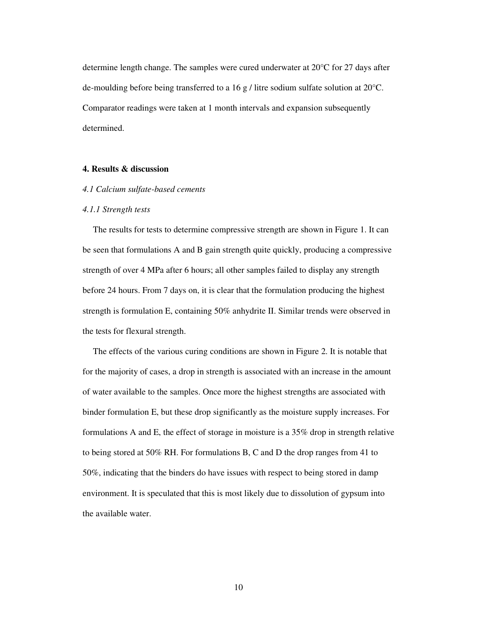determine length change. The samples were cured underwater at 20°C for 27 days after de-moulding before being transferred to a 16 g / litre sodium sulfate solution at  $20^{\circ}$ C. Comparator readings were taken at 1 month intervals and expansion subsequently determined.

## **4. Results & discussion**

## *4.1 Calcium sulfate-based cements*

#### *4.1.1 Strength tests*

The results for tests to determine compressive strength are shown in Figure 1. It can be seen that formulations A and B gain strength quite quickly, producing a compressive strength of over 4 MPa after 6 hours; all other samples failed to display any strength before 24 hours. From 7 days on, it is clear that the formulation producing the highest strength is formulation E, containing 50% anhydrite II. Similar trends were observed in the tests for flexural strength.

The effects of the various curing conditions are shown in Figure 2. It is notable that for the majority of cases, a drop in strength is associated with an increase in the amount of water available to the samples. Once more the highest strengths are associated with binder formulation E, but these drop significantly as the moisture supply increases. For formulations A and E, the effect of storage in moisture is a 35% drop in strength relative to being stored at 50% RH. For formulations B, C and D the drop ranges from 41 to 50%, indicating that the binders do have issues with respect to being stored in damp environment. It is speculated that this is most likely due to dissolution of gypsum into the available water.

10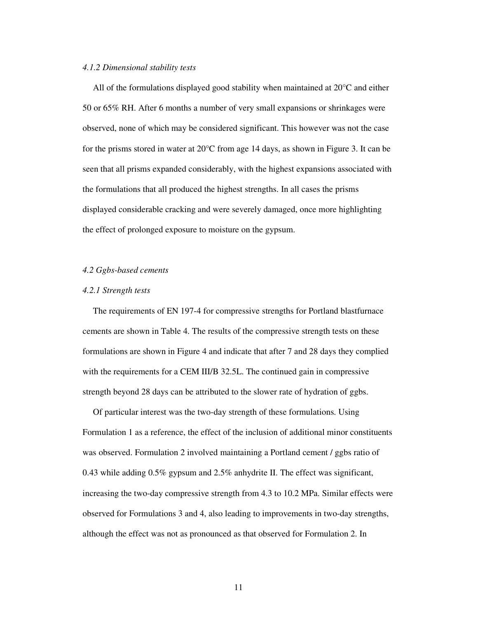#### *4.1.2 Dimensional stability tests*

All of the formulations displayed good stability when maintained at 20°C and either 50 or 65% RH. After 6 months a number of very small expansions or shrinkages were observed, none of which may be considered significant. This however was not the case for the prisms stored in water at  $20^{\circ}$ C from age 14 days, as shown in Figure 3. It can be seen that all prisms expanded considerably, with the highest expansions associated with the formulations that all produced the highest strengths. In all cases the prisms displayed considerable cracking and were severely damaged, once more highlighting the effect of prolonged exposure to moisture on the gypsum.

## *4.2 Ggbs-based cements*

#### *4.2.1 Strength tests*

The requirements of EN 197-4 for compressive strengths for Portland blastfurnace cements are shown in Table 4. The results of the compressive strength tests on these formulations are shown in Figure 4 and indicate that after 7 and 28 days they complied with the requirements for a CEM III/B 32.5L. The continued gain in compressive strength beyond 28 days can be attributed to the slower rate of hydration of ggbs.

Of particular interest was the two-day strength of these formulations. Using Formulation 1 as a reference, the effect of the inclusion of additional minor constituents was observed. Formulation 2 involved maintaining a Portland cement / ggbs ratio of 0.43 while adding 0.5% gypsum and 2.5% anhydrite II. The effect was significant, increasing the two-day compressive strength from 4.3 to 10.2 MPa. Similar effects were observed for Formulations 3 and 4, also leading to improvements in two-day strengths, although the effect was not as pronounced as that observed for Formulation 2. In

11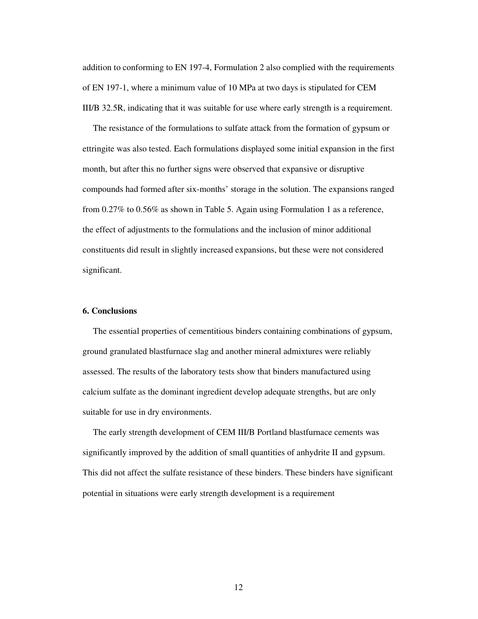addition to conforming to EN 197-4, Formulation 2 also complied with the requirements of EN 197-1, where a minimum value of 10 MPa at two days is stipulated for CEM III/B 32.5R, indicating that it was suitable for use where early strength is a requirement.

The resistance of the formulations to sulfate attack from the formation of gypsum or ettringite was also tested. Each formulations displayed some initial expansion in the first month, but after this no further signs were observed that expansive or disruptive compounds had formed after six-months' storage in the solution. The expansions ranged from 0.27% to 0.56% as shown in Table 5. Again using Formulation 1 as a reference, the effect of adjustments to the formulations and the inclusion of minor additional constituents did result in slightly increased expansions, but these were not considered significant.

## **6. Conclusions**

The essential properties of cementitious binders containing combinations of gypsum, ground granulated blastfurnace slag and another mineral admixtures were reliably assessed. The results of the laboratory tests show that binders manufactured using calcium sulfate as the dominant ingredient develop adequate strengths, but are only suitable for use in dry environments.

The early strength development of CEM III/B Portland blastfurnace cements was significantly improved by the addition of small quantities of anhydrite II and gypsum. This did not affect the sulfate resistance of these binders. These binders have significant potential in situations were early strength development is a requirement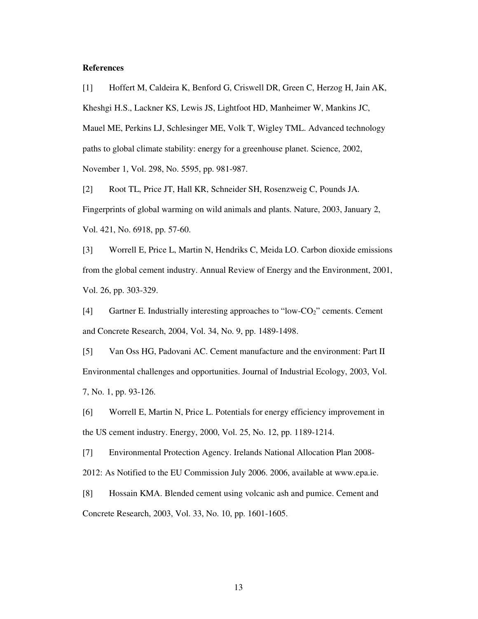#### **References**

[1] Hoffert M, Caldeira K, Benford G, Criswell DR, Green C, Herzog H, Jain AK, Kheshgi H.S., Lackner KS, Lewis JS, Lightfoot HD, Manheimer W, Mankins JC, Mauel ME, Perkins LJ, Schlesinger ME, Volk T, Wigley TML. Advanced technology paths to global climate stability: energy for a greenhouse planet. Science, 2002, November 1, Vol. 298, No. 5595, pp. 981-987.

[2] Root TL, Price JT, Hall KR, Schneider SH, Rosenzweig C, Pounds JA. Fingerprints of global warming on wild animals and plants. Nature, 2003, January 2, Vol. 421, No. 6918, pp. 57-60.

[3] Worrell E, Price L, Martin N, Hendriks C, Meida LO. Carbon dioxide emissions from the global cement industry. Annual Review of Energy and the Environment, 2001, Vol. 26, pp. 303-329.

 $[4]$  Gartner E. Industrially interesting approaches to "low-CO<sub>2</sub>" cements. Cement and Concrete Research, 2004, Vol. 34, No. 9, pp. 1489-1498.

[5] Van Oss HG, Padovani AC. Cement manufacture and the environment: Part II Environmental challenges and opportunities. Journal of Industrial Ecology, 2003, Vol. 7, No. 1, pp. 93-126.

[6] Worrell E, Martin N, Price L. Potentials for energy efficiency improvement in the US cement industry. Energy, 2000, Vol. 25, No. 12, pp. 1189-1214.

[7] Environmental Protection Agency. Irelands National Allocation Plan 2008- 2012: As Notified to the EU Commission July 2006. 2006, available at www.epa.ie.

[8] Hossain KMA. Blended cement using volcanic ash and pumice. Cement and Concrete Research, 2003, Vol. 33, No. 10, pp. 1601-1605.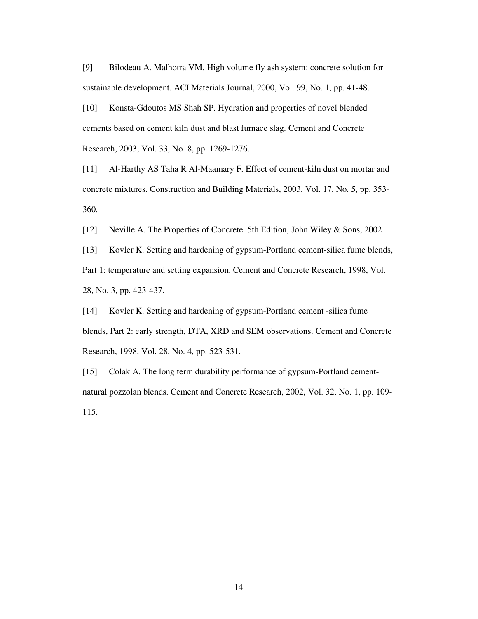[9] Bilodeau A. Malhotra VM. High volume fly ash system: concrete solution for sustainable development. ACI Materials Journal, 2000, Vol. 99, No. 1, pp. 41-48.

[10] Konsta-Gdoutos MS Shah SP. Hydration and properties of novel blended cements based on cement kiln dust and blast furnace slag. Cement and Concrete Research, 2003, Vol. 33, No. 8, pp. 1269-1276.

[11] Al-Harthy AS Taha R Al-Maamary F. Effect of cement-kiln dust on mortar and concrete mixtures. Construction and Building Materials, 2003, Vol. 17, No. 5, pp. 353- 360.

[12] Neville A. The Properties of Concrete. 5th Edition, John Wiley & Sons, 2002.

[13] Kovler K. Setting and hardening of gypsum-Portland cement-silica fume blends, Part 1: temperature and setting expansion. Cement and Concrete Research, 1998, Vol. 28, No. 3, pp. 423-437.

[14] Kovler K. Setting and hardening of gypsum-Portland cement -silica fume blends, Part 2: early strength, DTA, XRD and SEM observations. Cement and Concrete Research, 1998, Vol. 28, No. 4, pp. 523-531.

[15] Colak A. The long term durability performance of gypsum-Portland cementnatural pozzolan blends. Cement and Concrete Research, 2002, Vol. 32, No. 1, pp. 109- 115.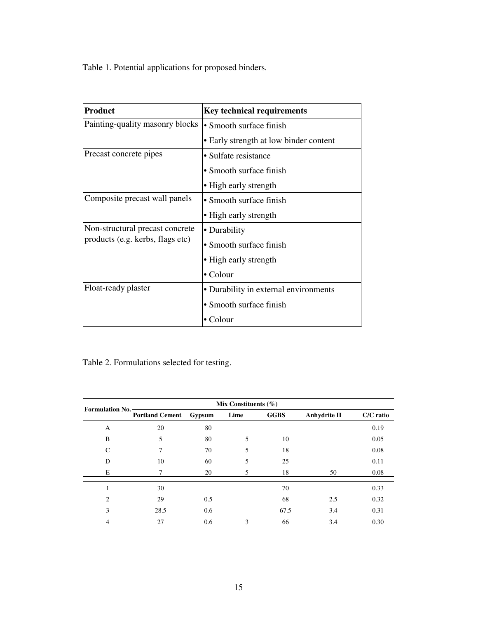Table 1. Potential applications for proposed binders.

| <b>Product</b>                   | <b>Key technical requirements</b>      |  |  |
|----------------------------------|----------------------------------------|--|--|
| Painting-quality masonry blocks  | • Smooth surface finish                |  |  |
|                                  | • Early strength at low binder content |  |  |
| Precast concrete pipes           | • Sulfate resistance                   |  |  |
|                                  | • Smooth surface finish                |  |  |
|                                  | • High early strength                  |  |  |
| Composite precast wall panels    | • Smooth surface finish                |  |  |
|                                  | • High early strength                  |  |  |
| Non-structural precast concrete  | • Durability                           |  |  |
| products (e.g. kerbs, flags etc) | • Smooth surface finish                |  |  |
|                                  | • High early strength                  |  |  |
|                                  | $\bullet$ Colour                       |  |  |
| Float-ready plaster              | • Durability in external environments  |  |  |
|                                  | • Smooth surface finish                |  |  |
|                                  | • Colour                               |  |  |

Table 2. Formulations selected for testing.

| <b>Formulation No.</b> | Mix Constituents $(\% )$ |        |      |             |                     |           |
|------------------------|--------------------------|--------|------|-------------|---------------------|-----------|
|                        | <b>Portland Cement</b>   | Gypsum | Lime | <b>GGBS</b> | <b>Anhydrite II</b> | C/C ratio |
| A                      | 20                       | 80     |      |             |                     | 0.19      |
| B                      | 5                        | 80     | 5    | 10          |                     | 0.05      |
| C                      | 7                        | 70     | 5    | 18          |                     | 0.08      |
| D                      | 10                       | 60     | 5    | 25          |                     | 0.11      |
| Е                      | 7                        | 20     | 5    | 18          | 50                  | 0.08      |
|                        | 30                       |        |      | 70          |                     | 0.33      |
| 2                      | 29                       | 0.5    |      | 68          | 2.5                 | 0.32      |
| 3                      | 28.5                     | 0.6    |      | 67.5        | 3.4                 | 0.31      |
| 4                      | 27                       | 0.6    | 3    | 66          | 3.4                 | 0.30      |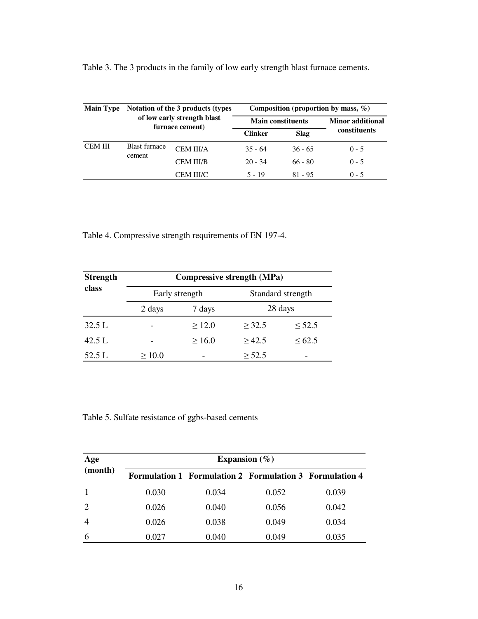| <b>Main Type</b>                               | Notation of the 3 products (types) |                  | Composition (proportion by mass, $\%$ ) |                         |              |  |
|------------------------------------------------|------------------------------------|------------------|-----------------------------------------|-------------------------|--------------|--|
| of low early strength blast<br>furnace cement) |                                    |                  | <b>Main constituents</b>                | <b>Minor</b> additional |              |  |
|                                                |                                    |                  | <b>Clinker</b>                          | <b>Slag</b>             | constituents |  |
| <b>CEM III</b><br>cement                       | <b>Blast furnace</b>               | <b>CEM III/A</b> | $35 - 64$                               | $36 - 65$               | $0 - 5$      |  |
|                                                |                                    | <b>CEM III/B</b> | $20 - 34$                               | $66 - 80$               | $0 - 5$      |  |
|                                                |                                    | CEM III/C        | $5 - 19$                                | $81 - 95$               | $0 - 5$      |  |

Table 3. The 3 products in the family of low early strength blast furnace cements.

Table 4. Compressive strength requirements of EN 197-4.

| <b>Strength</b> | <b>Compressive strength (MPa)</b> |                |                   |             |  |
|-----------------|-----------------------------------|----------------|-------------------|-------------|--|
| class           |                                   | Early strength | Standard strength |             |  |
|                 | 2 days                            | 7 days         | 28 days           |             |  |
| 32.5L           |                                   | $\geq 12.0$    | > 32.5            | $\leq 52.5$ |  |
| 42.5 L          |                                   | $\geq 16.0$    | >42.5             | <62.5       |  |
| 52.5 L          | >10.0                             |                | $\geq 52.5$       |             |  |

Table 5. Sulfate resistance of ggbs-based cements

| Age<br>(month) | Expansion $(\% )$ |                                                                |       |       |  |
|----------------|-------------------|----------------------------------------------------------------|-------|-------|--|
|                |                   | <b>Formulation 1 Formulation 2 Formulation 3 Formulation 4</b> |       |       |  |
|                | 0.030             | 0.034                                                          | 0.052 | 0.039 |  |
|                | 0.026             | 0.040                                                          | 0.056 | 0.042 |  |
|                | 0.026             | 0.038                                                          | 0.049 | 0.034 |  |
|                | 0.027             | 0.040                                                          | 0.049 | 0.035 |  |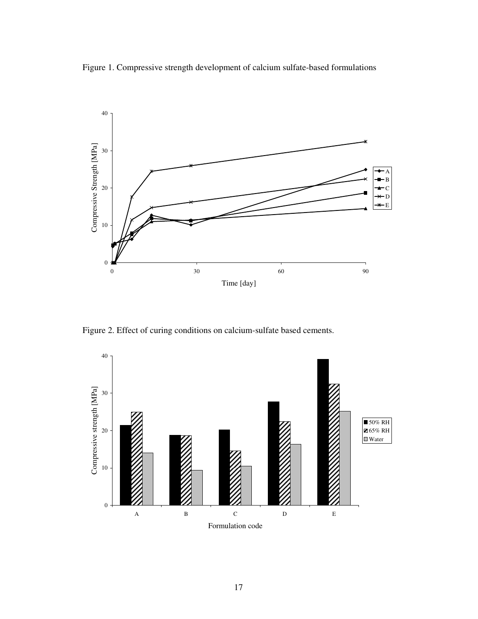Figure 1. Compressive strength development of calcium sulfate-based formulations



Figure 2. Effect of curing conditions on calcium-sulfate based cements.